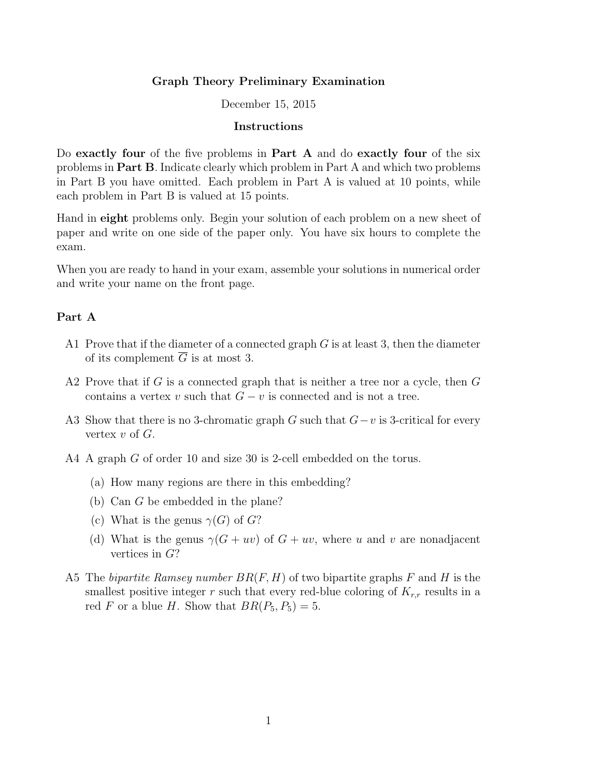## Graph Theory Preliminary Examination

#### December 15, 2015

## Instructions

Do exactly four of the five problems in Part A and do exactly four of the six problems in Part B. Indicate clearly which problem in Part A and which two problems in Part B you have omitted. Each problem in Part A is valued at 10 points, while each problem in Part B is valued at 15 points.

Hand in eight problems only. Begin your solution of each problem on a new sheet of paper and write on one side of the paper only. You have six hours to complete the exam.

When you are ready to hand in your exam, assemble your solutions in numerical order and write your name on the front page.

#### Part A

- A1 Prove that if the diameter of a connected graph  $G$  is at least 3, then the diameter of its complement  $\overline{G}$  is at most 3.
- A2 Prove that if  $G$  is a connected graph that is neither a tree nor a cycle, then  $G$ contains a vertex v such that  $G - v$  is connected and is not a tree.
- A3 Show that there is no 3-chromatic graph G such that  $G-v$  is 3-critical for every vertex  $v$  of  $G$ .
- A4 A graph G of order 10 and size 30 is 2-cell embedded on the torus.
	- (a) How many regions are there in this embedding?
	- (b) Can G be embedded in the plane?
	- (c) What is the genus  $\gamma(G)$  of  $G$ ?
	- (d) What is the genus  $\gamma(G + uv)$  of  $G + uv$ , where u and v are nonadjacent vertices in G?
- A5 The bipartite Ramsey number  $BR(F, H)$  of two bipartite graphs F and H is the smallest positive integer r such that every red-blue coloring of  $K_{r,r}$  results in a red F or a blue H. Show that  $BR(P_5, P_5) = 5$ .